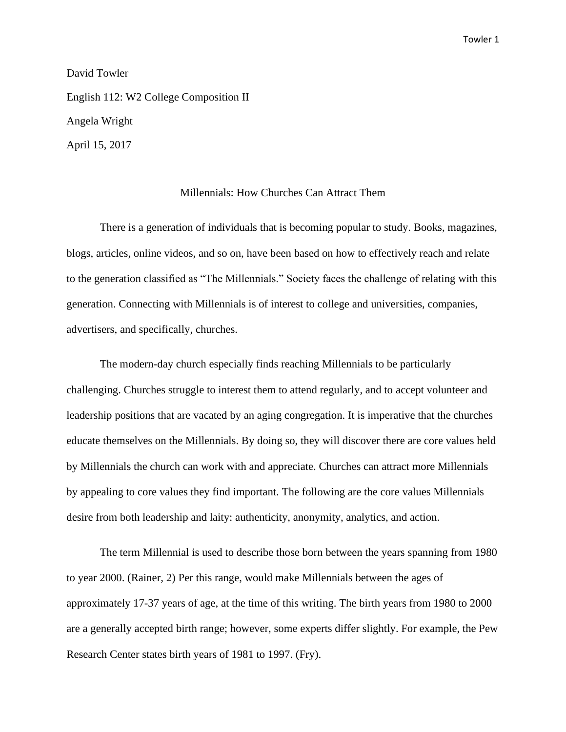David Towler

English 112: W2 College Composition II Angela Wright April 15, 2017

## Millennials: How Churches Can Attract Them

There is a generation of individuals that is becoming popular to study. Books, magazines, blogs, articles, online videos, and so on, have been based on how to effectively reach and relate to the generation classified as "The Millennials." Society faces the challenge of relating with this generation. Connecting with Millennials is of interest to college and universities, companies, advertisers, and specifically, churches.

The modern-day church especially finds reaching Millennials to be particularly challenging. Churches struggle to interest them to attend regularly, and to accept volunteer and leadership positions that are vacated by an aging congregation. It is imperative that the churches educate themselves on the Millennials. By doing so, they will discover there are core values held by Millennials the church can work with and appreciate. Churches can attract more Millennials by appealing to core values they find important. The following are the core values Millennials desire from both leadership and laity: authenticity, anonymity, analytics, and action.

The term Millennial is used to describe those born between the years spanning from 1980 to year 2000. (Rainer, 2) Per this range, would make Millennials between the ages of approximately 17-37 years of age, at the time of this writing. The birth years from 1980 to 2000 are a generally accepted birth range; however, some experts differ slightly. For example, the Pew Research Center states birth years of 1981 to 1997. (Fry).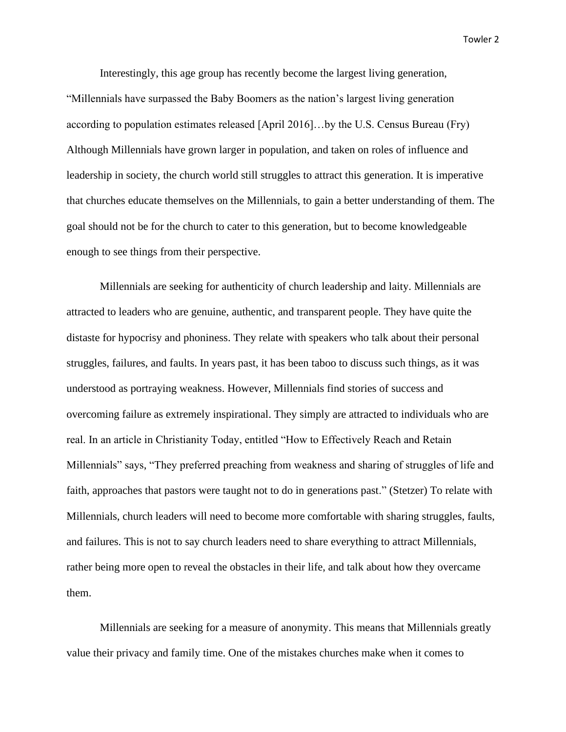Interestingly, this age group has recently become the largest living generation,

"Millennials have surpassed the Baby Boomers as the nation's largest living generation according to population estimates released [April 2016]…by the U.S. Census Bureau (Fry) Although Millennials have grown larger in population, and taken on roles of influence and leadership in society, the church world still struggles to attract this generation. It is imperative that churches educate themselves on the Millennials, to gain a better understanding of them. The goal should not be for the church to cater to this generation, but to become knowledgeable enough to see things from their perspective.

Millennials are seeking for authenticity of church leadership and laity. Millennials are attracted to leaders who are genuine, authentic, and transparent people. They have quite the distaste for hypocrisy and phoniness. They relate with speakers who talk about their personal struggles, failures, and faults. In years past, it has been taboo to discuss such things, as it was understood as portraying weakness. However, Millennials find stories of success and overcoming failure as extremely inspirational. They simply are attracted to individuals who are real. In an article in Christianity Today, entitled "How to Effectively Reach and Retain Millennials" says, "They preferred preaching from weakness and sharing of struggles of life and faith, approaches that pastors were taught not to do in generations past." (Stetzer) To relate with Millennials, church leaders will need to become more comfortable with sharing struggles, faults, and failures. This is not to say church leaders need to share everything to attract Millennials, rather being more open to reveal the obstacles in their life, and talk about how they overcame them.

Millennials are seeking for a measure of anonymity. This means that Millennials greatly value their privacy and family time. One of the mistakes churches make when it comes to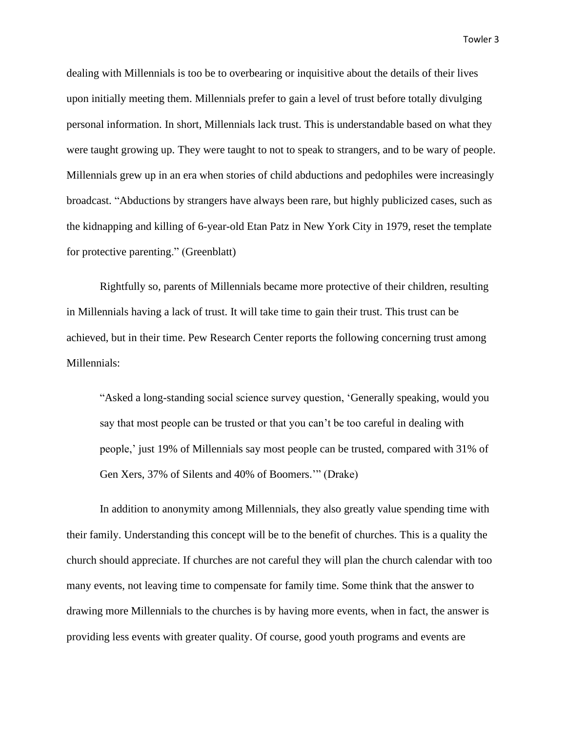dealing with Millennials is too be to overbearing or inquisitive about the details of their lives upon initially meeting them. Millennials prefer to gain a level of trust before totally divulging personal information. In short, Millennials lack trust. This is understandable based on what they were taught growing up. They were taught to not to speak to strangers, and to be wary of people. Millennials grew up in an era when stories of child abductions and pedophiles were increasingly broadcast. "Abductions by strangers have always been rare, but highly publicized cases, such as the kidnapping and killing of 6-year-old Etan Patz in New York City in 1979, reset the template for protective parenting." (Greenblatt)

Rightfully so, parents of Millennials became more protective of their children, resulting in Millennials having a lack of trust. It will take time to gain their trust. This trust can be achieved, but in their time. Pew Research Center reports the following concerning trust among Millennials:

"Asked a long-standing social science survey question, 'Generally speaking, would you say that most people can be trusted or that you can't be too careful in dealing with people,' just 19% of Millennials say most people can be trusted, compared with 31% of Gen Xers, 37% of Silents and 40% of Boomers.'" (Drake)

In addition to anonymity among Millennials, they also greatly value spending time with their family. Understanding this concept will be to the benefit of churches. This is a quality the church should appreciate. If churches are not careful they will plan the church calendar with too many events, not leaving time to compensate for family time. Some think that the answer to drawing more Millennials to the churches is by having more events, when in fact, the answer is providing less events with greater quality. Of course, good youth programs and events are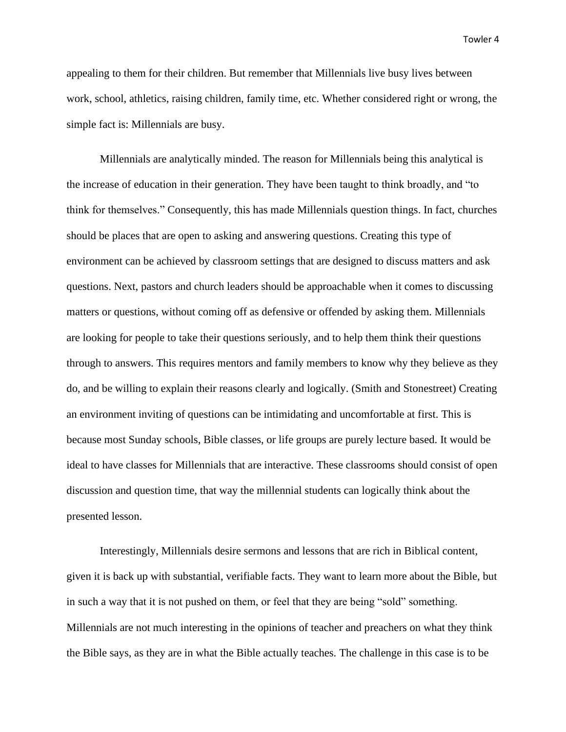appealing to them for their children. But remember that Millennials live busy lives between work, school, athletics, raising children, family time, etc. Whether considered right or wrong, the simple fact is: Millennials are busy.

Millennials are analytically minded. The reason for Millennials being this analytical is the increase of education in their generation. They have been taught to think broadly, and "to think for themselves." Consequently, this has made Millennials question things. In fact, churches should be places that are open to asking and answering questions. Creating this type of environment can be achieved by classroom settings that are designed to discuss matters and ask questions. Next, pastors and church leaders should be approachable when it comes to discussing matters or questions, without coming off as defensive or offended by asking them. Millennials are looking for people to take their questions seriously, and to help them think their questions through to answers. This requires mentors and family members to know why they believe as they do, and be willing to explain their reasons clearly and logically. (Smith and Stonestreet) Creating an environment inviting of questions can be intimidating and uncomfortable at first. This is because most Sunday schools, Bible classes, or life groups are purely lecture based. It would be ideal to have classes for Millennials that are interactive. These classrooms should consist of open discussion and question time, that way the millennial students can logically think about the presented lesson.

Interestingly, Millennials desire sermons and lessons that are rich in Biblical content, given it is back up with substantial, verifiable facts. They want to learn more about the Bible, but in such a way that it is not pushed on them, or feel that they are being "sold" something. Millennials are not much interesting in the opinions of teacher and preachers on what they think the Bible says, as they are in what the Bible actually teaches. The challenge in this case is to be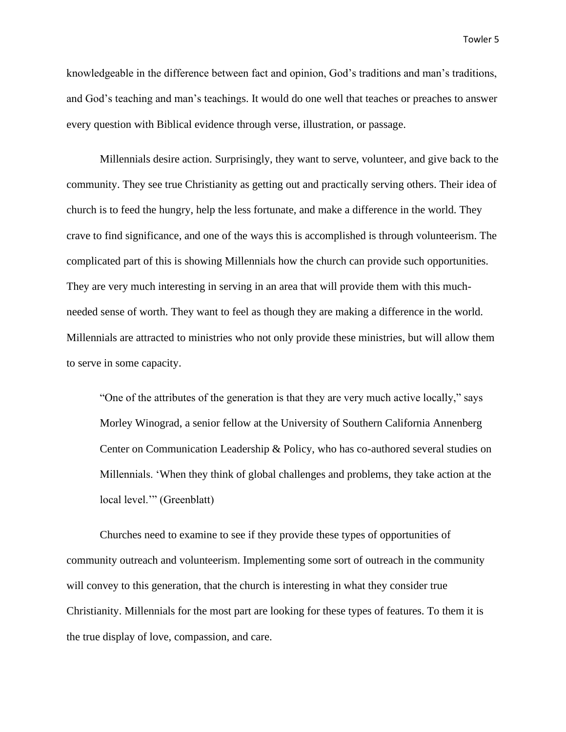knowledgeable in the difference between fact and opinion, God's traditions and man's traditions, and God's teaching and man's teachings. It would do one well that teaches or preaches to answer every question with Biblical evidence through verse, illustration, or passage.

Millennials desire action. Surprisingly, they want to serve, volunteer, and give back to the community. They see true Christianity as getting out and practically serving others. Their idea of church is to feed the hungry, help the less fortunate, and make a difference in the world. They crave to find significance, and one of the ways this is accomplished is through volunteerism. The complicated part of this is showing Millennials how the church can provide such opportunities. They are very much interesting in serving in an area that will provide them with this muchneeded sense of worth. They want to feel as though they are making a difference in the world. Millennials are attracted to ministries who not only provide these ministries, but will allow them to serve in some capacity.

"One of the attributes of the generation is that they are very much active locally," says Morley Winograd, a senior fellow at the University of Southern California Annenberg Center on Communication Leadership & Policy, who has co-authored several studies on Millennials. 'When they think of global challenges and problems, they take action at the local level.'" (Greenblatt)

Churches need to examine to see if they provide these types of opportunities of community outreach and volunteerism. Implementing some sort of outreach in the community will convey to this generation, that the church is interesting in what they consider true Christianity. Millennials for the most part are looking for these types of features. To them it is the true display of love, compassion, and care.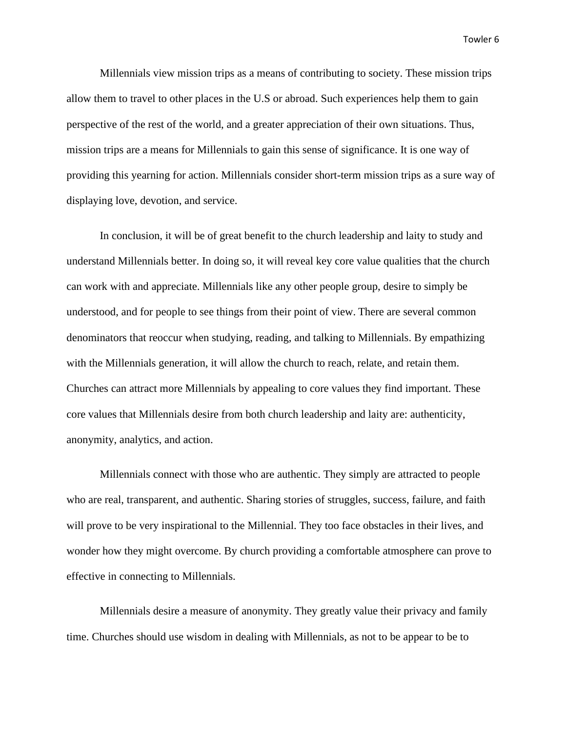Millennials view mission trips as a means of contributing to society. These mission trips allow them to travel to other places in the U.S or abroad. Such experiences help them to gain perspective of the rest of the world, and a greater appreciation of their own situations. Thus, mission trips are a means for Millennials to gain this sense of significance. It is one way of providing this yearning for action. Millennials consider short-term mission trips as a sure way of displaying love, devotion, and service.

In conclusion, it will be of great benefit to the church leadership and laity to study and understand Millennials better. In doing so, it will reveal key core value qualities that the church can work with and appreciate. Millennials like any other people group, desire to simply be understood, and for people to see things from their point of view. There are several common denominators that reoccur when studying, reading, and talking to Millennials. By empathizing with the Millennials generation, it will allow the church to reach, relate, and retain them. Churches can attract more Millennials by appealing to core values they find important. These core values that Millennials desire from both church leadership and laity are: authenticity, anonymity, analytics, and action.

Millennials connect with those who are authentic. They simply are attracted to people who are real, transparent, and authentic. Sharing stories of struggles, success, failure, and faith will prove to be very inspirational to the Millennial. They too face obstacles in their lives, and wonder how they might overcome. By church providing a comfortable atmosphere can prove to effective in connecting to Millennials.

Millennials desire a measure of anonymity. They greatly value their privacy and family time. Churches should use wisdom in dealing with Millennials, as not to be appear to be to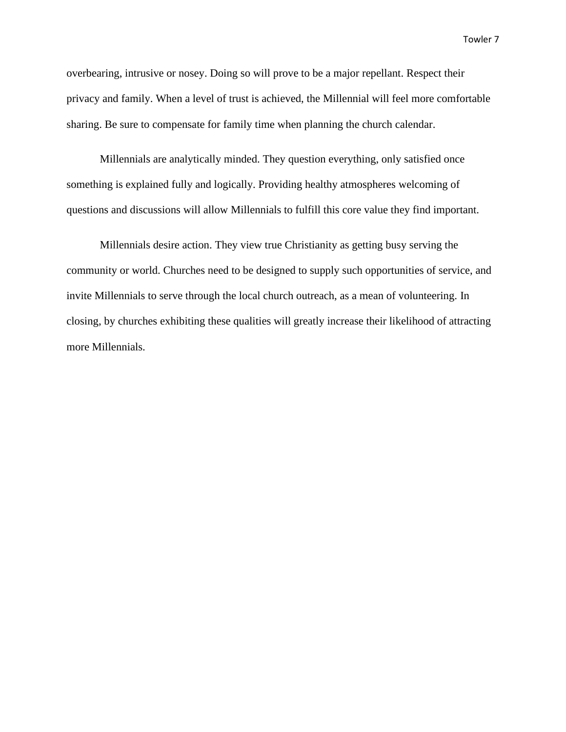overbearing, intrusive or nosey. Doing so will prove to be a major repellant. Respect their privacy and family. When a level of trust is achieved, the Millennial will feel more comfortable sharing. Be sure to compensate for family time when planning the church calendar.

Millennials are analytically minded. They question everything, only satisfied once something is explained fully and logically. Providing healthy atmospheres welcoming of questions and discussions will allow Millennials to fulfill this core value they find important.

Millennials desire action. They view true Christianity as getting busy serving the community or world. Churches need to be designed to supply such opportunities of service, and invite Millennials to serve through the local church outreach, as a mean of volunteering. In closing, by churches exhibiting these qualities will greatly increase their likelihood of attracting more Millennials.